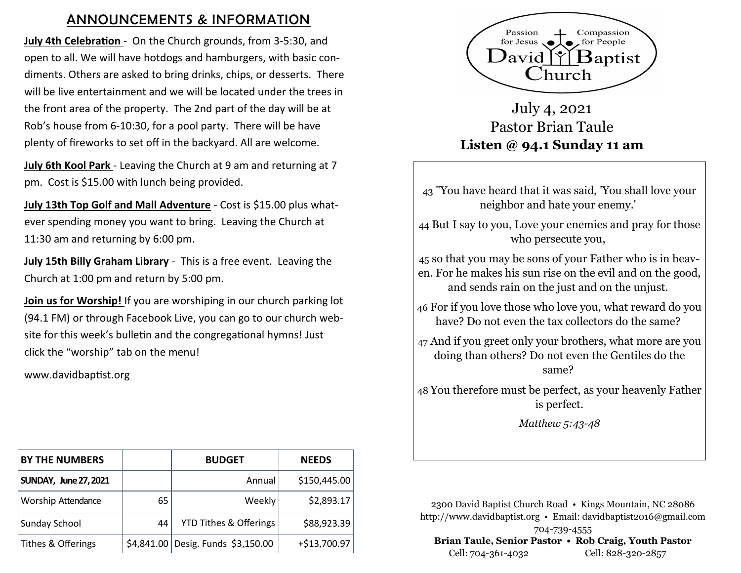## ANNOUNCEMENTS & INFORMATION

**July 4th Celebration** - On the Church grounds, from 3-5:30, and open to all. We will have hotdogs and hamburgers, with basic condiments. Others are asked to bring drinks, chips, or desserts. There will be live entertainment and we will be located under the trees in the front area of the property. The 2nd part of the day will be at Rob's house from 6-10:30, for a pool party. There will be have plenty of fireworks to set off in the backyard. All are welcome.

**July 6th Kool Park** - Leaving the Church at 9 am and returning at 7 pm. Cost is \$15.00 with lunch being provided.

**July 13th Top Golf and Mall Adventure** - Cost is \$15.00 plus whatever spending money you want to bring. Leaving the Church at 11:30 am and returning by 6:00 pm.

**July 15th Billy Graham Library** - This is a free event. Leaving the Church at 1:00 pm and return by 5:00 pm.

**Join us for Worship!** If you are worshiping in our church parking lot (94.1 FM) or through Facebook Live, you can go to our church website for this week's bulletin and the congregational hymns! Just click the "worship" tab on the menu!

www.davidbaptist.org

| <b>BY THE NUMBERS</b>        |    | <b>BUDGET</b>                      | <b>NEEDS</b> |
|------------------------------|----|------------------------------------|--------------|
| <b>SUNDAY, June 27, 2021</b> |    | Annual                             | \$150,445.00 |
| Worship Attendance           | 65 | Weekly                             | \$2,893.17   |
| Sunday School                | 44 | <b>YTD Tithes &amp; Offerings</b>  | \$88,923.39  |
| Tithes & Offerings           |    | \$4,841.00 Desig. Funds \$3,150.00 | +\$13,700.97 |



July 4, 2021 Pastor Brian Taule **Listen @ 94.1 Sunday 11 am**

43 "You have heard that it was said, 'You shall love your neighbor and hate your enemy.'

44 But I say to you, Love your enemies and pray for those who persecute you,

45 so that you may be sons of your Father who is in heaven. For he makes his sun rise on the evil and on the good, and sends rain on the just and on the unjust.

46 For if you love those who love you, what reward do you have? Do not even the tax collectors do the same?

47 And if you greet only your brothers, what more are you doing than others? Do not even the Gentiles do the same?

48 You therefore must be perfect, as your heavenly Father is perfect.

*Matthew 5:43-48*

2300 David Baptist Church Road • Kings Mountain, NC 28086 http://www.davidbaptist.org • Email: davidbaptist2016@gmail.com 704-739-4555 **Brian Taule, Senior Pastor • Rob Craig, Youth Pastor** Cell: 704-361-4032 Cell: 828-320-2857